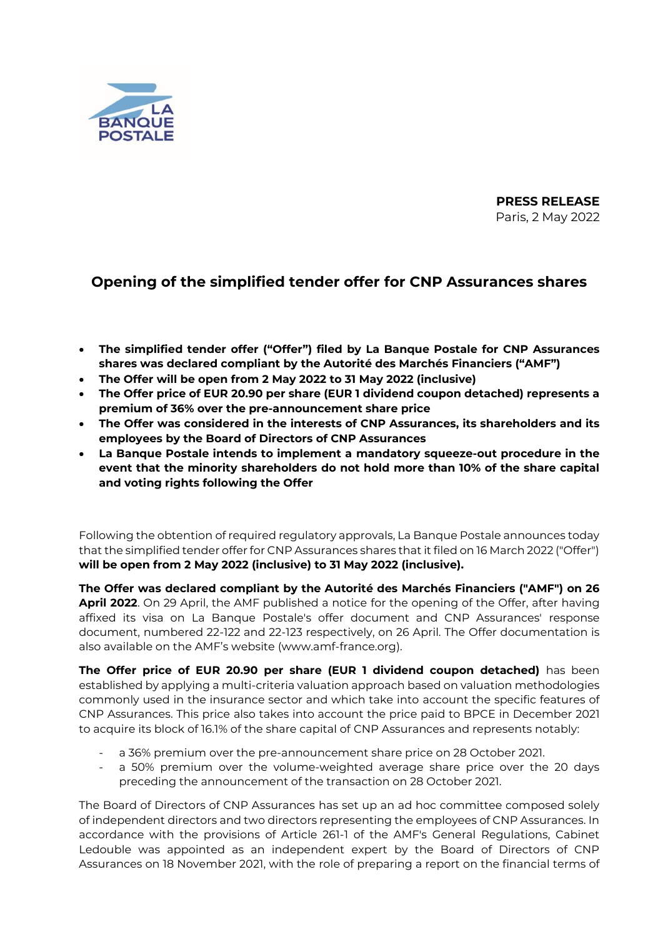

**PRESS RELEASE** Paris, 2 May 2022

## **Opening of the simplified tender offer for CNP Assurances shares**

- **The simplified tender offer ("Offer") filed by La Banque Postale for CNP Assurances shares was declared compliant by the Autorité des Marchés Financiers ("AMF")**
- **The Offer will be open from 2 May 2022 to 31 May 2022 (inclusive)**
- **The Offer price of EUR 20.90 per share (EUR 1 dividend coupon detached) represents a premium of 36% over the pre-announcement share price**
- **The Offer was considered in the interests of CNP Assurances, its shareholders and its employees by the Board of Directors of CNP Assurances**
- **La Banque Postale intends to implement a mandatory squeeze-out procedure in the event that the minority shareholders do not hold more than 10% of the share capital and voting rights following the Offer**

Following the obtention of required regulatory approvals, La Banque Postale announces today that the simplified tender offer for CNP Assurances shares that it filed on 16 March 2022 ("Offer") **will be open from 2 May 2022 (inclusive) to 31 May 2022 (inclusive).**

**The Offer was declared compliant by the Autorité des Marchés Financiers ("AMF") on 26 April 2022**. On 29 April, the AMF published a notice for the opening of the Offer, after having affixed its visa on La Banque Postale's offer document and CNP Assurances' response document, numbered 22-122 and 22-123 respectively, on 26 April. The Offer documentation is also available on the AMF's website (www.amf-france.org).

**The Offer price of EUR 20.90 per share (EUR 1 dividend coupon detached)** has been established by applying a multi-criteria valuation approach based on valuation methodologies commonly used in the insurance sector and which take into account the specific features of CNP Assurances. This price also takes into account the price paid to BPCE in December 2021 to acquire its block of 16.1% of the share capital of CNP Assurances and represents notably:

- a 36% premium over the pre-announcement share price on 28 October 2021.
- a 50% premium over the volume-weighted average share price over the 20 days preceding the announcement of the transaction on 28 October 2021.

The Board of Directors of CNP Assurances has set up an ad hoc committee composed solely of independent directors and two directors representing the employees of CNP Assurances. In accordance with the provisions of Article 261-1 of the AMF's General Regulations, Cabinet Ledouble was appointed as an independent expert by the Board of Directors of CNP Assurances on 18 November 2021, with the role of preparing a report on the financial terms of